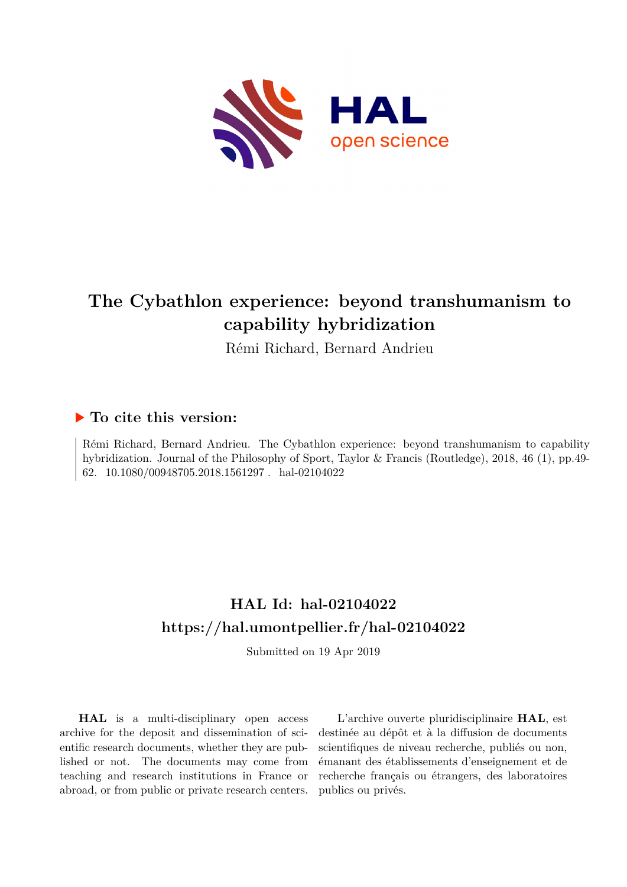

# **The Cybathlon experience: beyond transhumanism to capability hybridization**

Rémi Richard, Bernard Andrieu

# **To cite this version:**

Rémi Richard, Bernard Andrieu. The Cybathlon experience: beyond transhumanism to capability hybridization. Journal of the Philosophy of Sport, Taylor & Francis (Routledge), 2018, 46 (1), pp.49- 62.  $10.1080/00948705.2018.1561297$ . hal-02104022

# **HAL Id: hal-02104022 <https://hal.umontpellier.fr/hal-02104022>**

Submitted on 19 Apr 2019

**HAL** is a multi-disciplinary open access archive for the deposit and dissemination of scientific research documents, whether they are published or not. The documents may come from teaching and research institutions in France or abroad, or from public or private research centers.

L'archive ouverte pluridisciplinaire **HAL**, est destinée au dépôt et à la diffusion de documents scientifiques de niveau recherche, publiés ou non, émanant des établissements d'enseignement et de recherche français ou étrangers, des laboratoires publics ou privés.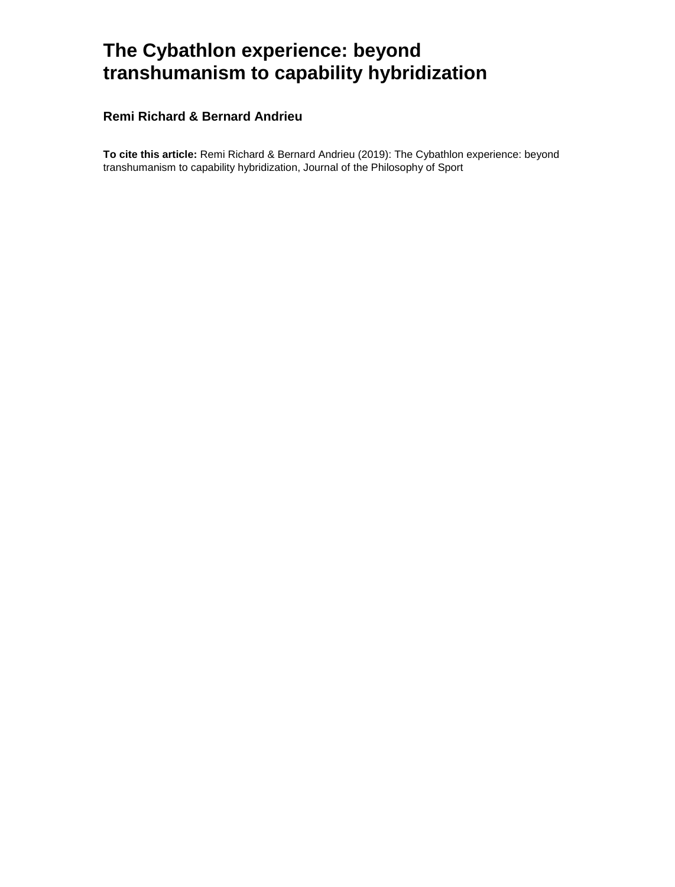# **The Cybathlon experience: beyond transhumanism to capability hybridization**

## **Remi Richard & Bernard Andrieu**

**To cite this article:** Remi Richard & Bernard Andrieu (2019): The Cybathlon experience: beyond transhumanism to capability hybridization, Journal of the Philosophy of Sport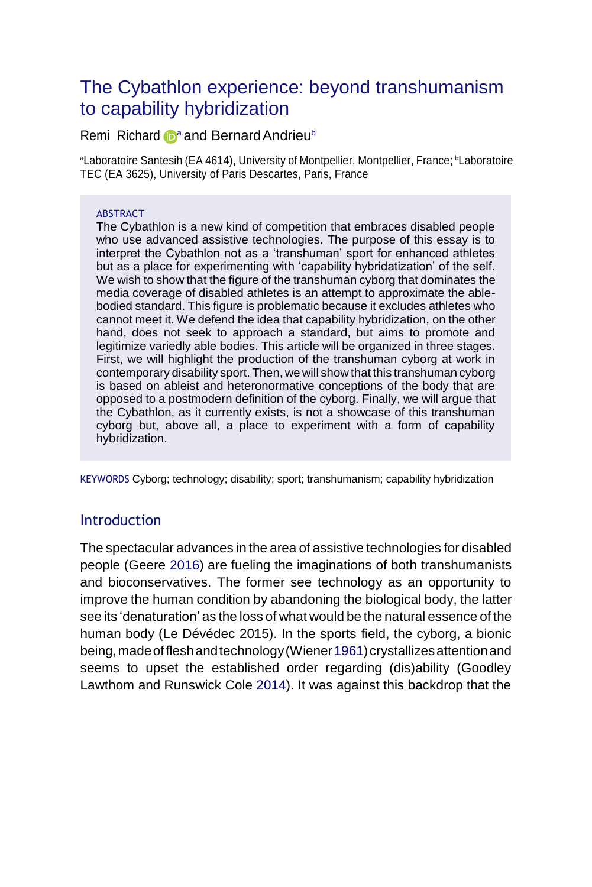# The Cybathlon experience: beyond transhumanism to capability hybridization

#### Remi Richard **D**<s[u](#page-2-0)p>a</sup> and Bernard Andrieu<sup>b</sup>

<span id="page-2-0"></span><sup>a</sup>Laboratoire Santesih (EA 4614), University of Montpellier, Montpellier, France; <sup>b</sup>Laboratoire TEC (EA 3625), University of Paris Descartes, Paris, France

#### **ABSTRACT**

The Cybathlon is a new kind of competition that embraces disabled people who use advanced assistive technologies. The purpose of this essay is to interpret the Cybathlon not as a 'transhuman' sport for enhanced athletes but as a place for experimenting with 'capability hybridatization' of the self. We wish to show that the figure of the transhuman cyborg that dominates the media coverage of disabled athletes is an attempt to approximate the ablebodied standard. This figure is problematic because it excludes athletes who cannot meet it. We defend the idea that capability hybridization, on the other hand, does not seek to approach a standard, but aims to promote and legitimize variedly able bodies. This article will be organized in three stages. First, we will highlight the production of the transhuman cyborg at work in contemporary disability sport. Then, we will show that this transhuman cyborg is based on ableist and heteronormative conceptions of the body that are opposed to a postmodern definition of the cyborg. Finally, we will argue that the Cybathlon, as it currently exists, is not a showcase of this transhuman cyborg but, above all, a place to experiment with a form of capability hybridization.

KEYWORDS Cyborg; technology; disability; sport; transhumanism; capability hybridization

#### **Introduction**

<span id="page-2-3"></span><span id="page-2-2"></span><span id="page-2-1"></span>The spectacular advances in the area of assistive technologies for disabled people (Geere [2016\)](#page-14-0) are fueling the imaginations of both transhumanists and bioconservatives. The former see technology as an opportunity to improve the human condition by abandoning the biological body, the latter see its 'denaturation' as the loss of what would be the natural essence of the human body (Le Dévédec 2015). In the sports field, the cyborg, a bionic being, made of flesh and technology (Wiener 1961) crystallizes attention and seems to upset the established order regarding (dis)ability (Goodley Lawthom and Runswick Cole [2014\)](#page-15-0). It was against this backdrop that the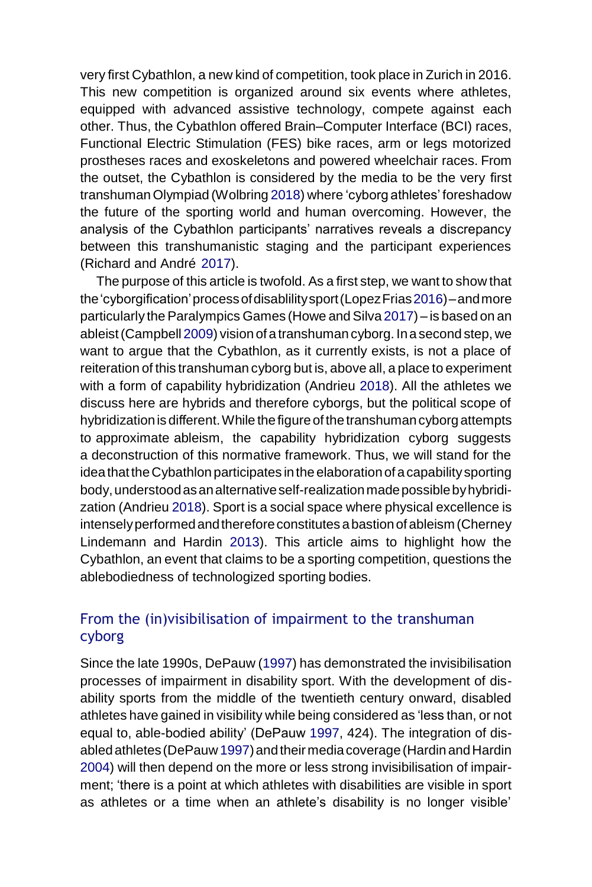<span id="page-4-8"></span>very first Cybathlon, a new kind of competition, took place in Zurich in 2016. This new competition is organized around six events where athletes, equipped with advanced assistive technology, compete against each other. Thus, the Cybathlon offered Brain–Computer Interface (BCI) races, Functional Electric Stimulation (FES) bike races, arm or legs motorized prostheses races and exoskeletons and powered wheelchair races. From the outset, the Cybathlon is considered by the media to be the very first transhuman Olympiad (Wolbring [2018\)](#page-16-1) where 'cyborg athletes' foreshadow the future of the sporting world and human overcoming. However, the analysis of the Cybathlon participants' narratives reveals a discrepancy between this transhumanistic staging and the participant experiences (Richard and André [2017\)](#page-16-2).

<span id="page-4-7"></span><span id="page-4-6"></span><span id="page-4-5"></span><span id="page-4-1"></span>The purpose of this article is twofold. As a first step, we want to show that the'cyborgification'processofdisablilitysport(LopezFria[s2016\)](#page-15-1)–andmore particularly the Paralympics Games (Howe and Silva [2017\)](#page-15-2) – is based on an ableist(Campbell [2009\)](#page-14-1) vision of a transhuman cyborg. Ina second step, we want to argue that the Cybathlon, as it currently exists, is not a place of reiteration of this transhuman cyborg but is, above all, a place to experiment with a form of capability hybridization (Andrieu [2018\)](#page-14-2). All the athletes we discuss here are hybrids and therefore cyborgs, but the political scope of hybridization is different. While the figure of the transhuman cyborg attempts to approximate ableism, the capability hybridization cyborg suggests a deconstruction of this normative framework. Thus, we will stand for the ideathattheCybathlon participates inthe elaborationof acapabilitysporting body,understoodasanalternativeself-realizationmadepossiblebyhybridization (Andrieu [2018\)](#page-14-2). Sport is a social space where physical excellence is intensely performed and therefore constitutes a bastion of ableism (Cherney Lindemann and Hardin [2013\)](#page-14-3). This article aims to highlight how the Cybathlon, an event that claims to be a sporting competition, questions the ablebodiedness of technologized sporting bodies.

## <span id="page-4-2"></span><span id="page-4-0"></span>From the (in)visibilisation of impairment to the transhuman cyborg

<span id="page-4-4"></span><span id="page-4-3"></span>Since the late 1990s, DePauw [\(1997\)](#page-14-4) has demonstrated the invisibilisation processes of impairment in disability sport. With the development of disability sports from the middle of the twentieth century onward, disabled athletes have gained in visibility while being considered as 'less than, or not equal to, able-bodied ability' (DePauw [1997,](#page-14-4) 424). The integration of disabled athletes (DePauw 1997) and their media coverage (Hardin and Hardin [2004\)](#page-15-3) will then depend on the more or less strong invisibilisation of impairment; 'there is a point at which athletes with disabilities are visible in sport as athletes or a time when an athlete's disability is no longer visible'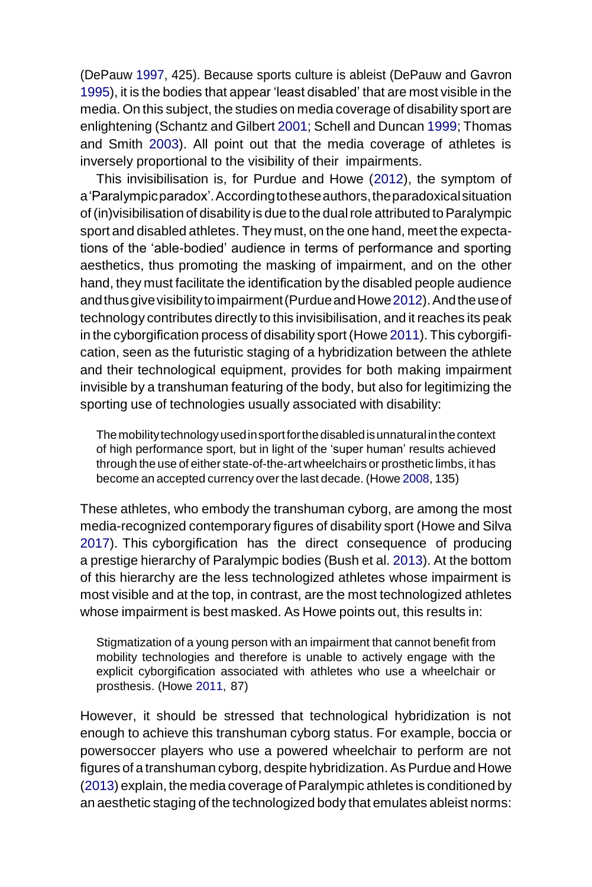<span id="page-5-7"></span><span id="page-5-6"></span><span id="page-5-1"></span>(DePauw [1997,](#page-14-4) 425). Because sports culture is ableist (DePauw and Gavron [1995\)](#page-14-5), it is the bodies that appear 'least disabled' that are most visible in the media. On this subject, the studies on media coverage of disability sport are enlightening (Schantz and Gilbert [2001;](#page-16-3) Schell and Duncan [1999;](#page-16-4) Thomas and Smith [2003\)](#page-16-5). All point out that the media coverage of athletes is inversely proportional to the visibility of their impairments.

<span id="page-5-4"></span>This invisibilisation is, for Purdue and Howe [\(2012\)](#page-15-4), the symptom of a'Paralympicparadox'.Accordingtotheseauthors,theparadoxicalsituation of (in) visibilisation of disability is due to the dual role attributed to Paralympic sport and disabled athletes. They must, on the one hand, meet the expectations of the 'able-bodied' audience in terms of performance and sporting aesthetics, thus promoting the masking of impairment, and on the other hand, they must facilitate the identification by the disabled people audience and thus give visibility to impairment (Purdue and Howe 2012). And the use of technology contributes directly to this invisibilisation, and it reaches its peak in the cyborgification process of disability sport (Howe [2011\)](#page-15-5). This cyborgification, seen as the futuristic staging of a hybridization between the athlete and their technological equipment, provides for both making impairment invisible by a transhuman featuring of the body, but also for legitimizing the sporting use of technologies usually associated with disability:

<span id="page-5-2"></span><span id="page-5-0"></span>Themobilitytechnologyusedinsportforthedisabledisunnatural inthecontext of high performance sport, but in light of the 'super human' results achieved through the use of either state-of-the-art wheelchairs or prosthetic limbs, it has become an accepted currency over the last decade. (Howe [2008,](#page-15-6) 135)

These athletes, who embody the transhuman cyborg, are among the most media-recognized contemporary figures of disability sport (Howe and Silva [2017\)](#page-15-2). This cyborgification has the direct consequence of producing a prestige hierarchy of Paralympic bodies (Bush et al. [2013\)](#page-14-6). At the bottom of this hierarchy are the less technologized athletes whose impairment is most visible and at the top, in contrast, are the most technologized athletes whose impairment is best masked. As Howe points out, this results in:

<span id="page-5-5"></span><span id="page-5-3"></span>Stigmatization of a young person with an impairment that cannot benefit from mobility technologies and therefore is unable to actively engage with the explicit cyborgification associated with athletes who use a wheelchair or prosthesis. (Howe [2011,](#page-15-5) 87)

However, it should be stressed that technological hybridization is not enough to achieve this transhuman cyborg status. For example, boccia or powersoccer players who use a powered wheelchair to perform are not figures of a transhuman cyborg, despite hybridization. As Purdue and Howe [\(2013\)](#page-15-7) explain, the media coverage of Paralympic athletes is conditioned by an aesthetic staging of the technologized body that emulates ableist norms: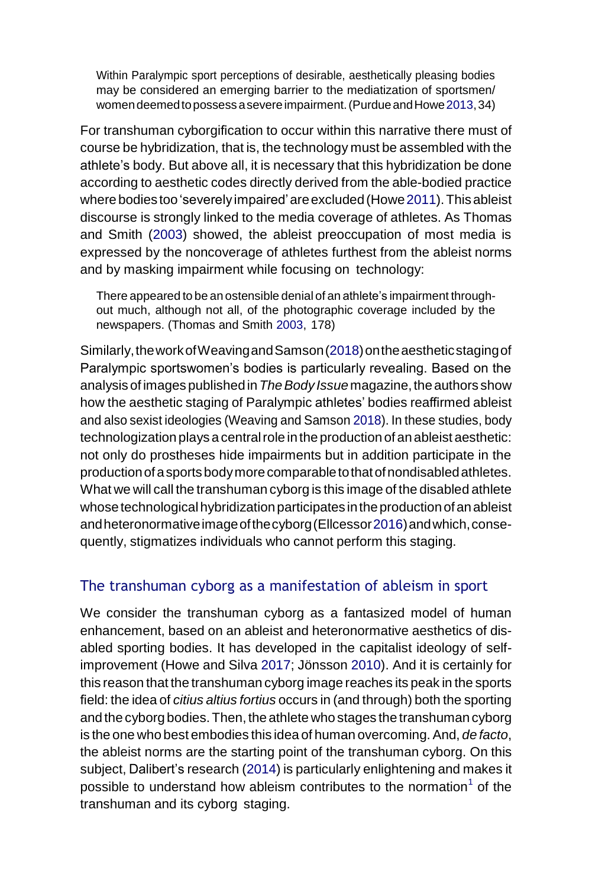Within Paralympic sport perceptions of desirable, aesthetically pleasing bodies may be considered an emerging barrier to the mediatization of sportsmen/ womendeemedtopossessasevereimpairment.(PurdueandHow[e2013,](#page-15-7)34)

For transhuman cyborgification to occur within this narrative there must of course be hybridization, that is, the technology must be assembled with the athlete's body. But above all, it is necessary that this hybridization be done according to aesthetic codes directly derived from the able-bodied practice where bodies too 'severely impaired' are excluded (Howe 2011). This ableist discourse is strongly linked to the media coverage of athletes. As Thomas and Smith [\(2003\)](#page-16-5) showed, the ableist preoccupation of most media is expressed by the noncoverage of athletes furthest from the ableist norms and by masking impairment while focusing on technology:

<span id="page-6-3"></span>There appeared to be an ostensible denial of an athlete's impairment throughout much, although not all, of the photographic coverage included by the newspapers. (Thomas and Smith [2003,](#page-16-5) 178)

Similarly, the work of Weavingand Samson [\(2018\)](#page-16-6) on the aesthetic staging of Paralympic sportswomen's bodies is particularly revealing. Based on the analysis of images published in The Body *Issue* magazine, the authors show how the aesthetic staging of Paralympic athletes' bodies reaffirmed ableist and also sexist ideologies (Weaving and Samson [2018\)](#page-16-6). In these studies, body technologization plays a central role in the production of an ableist aesthetic: not only do prostheses hide impairments but in addition participate in the productionofasportsbodymorecomparabletothatofnondisabledathletes. What we will call the transhuman cyborg is this image of the disabled athlete whose technological hybridization participates in the production of an ableist and heteronormative image of the cyborg (Ellcessor 2016) and which, consequently, stigmatizes individuals who cannot perform this staging.

### <span id="page-6-1"></span>The transhuman cyborg as a manifestation of ableism in sport

<span id="page-6-2"></span><span id="page-6-0"></span>We consider the transhuman cyborg as a fantasized model of human enhancement, based on an ableist and heteronormative aesthetics of disabled sporting bodies. It has developed in the capitalist ideology of selfimprovement (Howe and Silva [2017;](#page-15-2) Jönsson [2010\)](#page-15-8). And it is certainly for this reason that the transhuman cyborg image reaches its peak in the sports field: the idea of *citius altius fortius* occurs in (and through) both the sporting and the cyborg bodies. Then, the athlete who stages the transhuman cyborg is the one who best embodies this idea of human overcoming.And, *de facto*, the ableist norms are the starting point of the transhuman cyborg. On this subject, Dalibert's research [\(2014\)](#page-14-8) is particularly enlightening and makes it possible to understand how ableism contributes to the normation<sup>[1](#page-13-0)</sup> of the transhuman and its cyborg staging.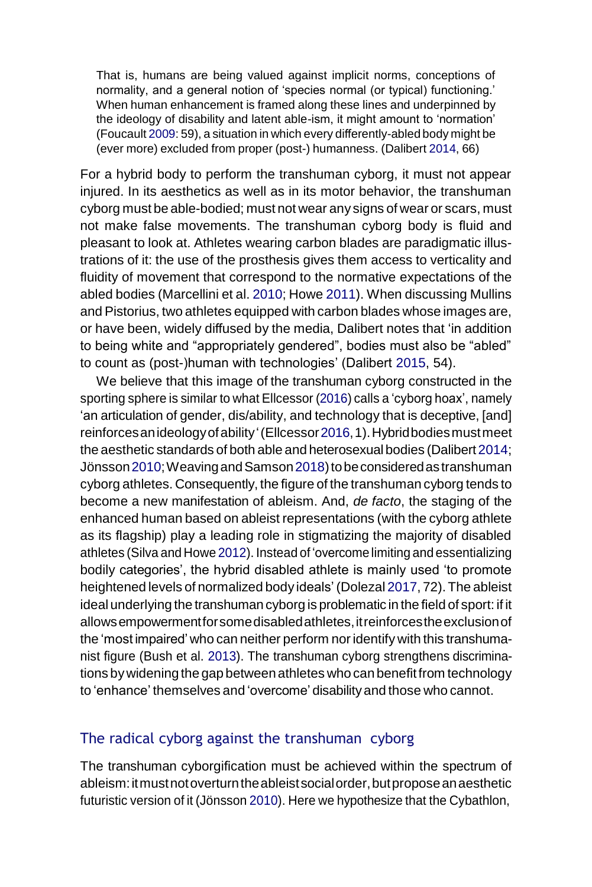<span id="page-7-2"></span>That is, humans are being valued against implicit norms, conceptions of normality, and a general notion of 'species normal (or typical) functioning.' When human enhancement is framed along these lines and underpinned by the ideology of disability and latent able-ism, it might amount to 'normation' (Foucault [2009:](#page-14-9) 59), a situation in which every differently-abled body might be (ever more) excluded from proper (post-) humanness. (Dalibert [2014,](#page-14-8) 66)

<span id="page-7-3"></span>For a hybrid body to perform the transhuman cyborg, it must not appear injured. In its aesthetics as well as in its motor behavior, the transhuman cyborg must be able-bodied; must not wear any signs of wear or scars, must not make false movements. The transhuman cyborg body is fluid and pleasant to look at. Athletes wearing carbon blades are paradigmatic illustrations of it: the use of the prosthesis gives them access to verticality and fluidity of movement that correspond to the normative expectations of the abled bodies (Marcellini et al. [2010;](#page-15-9) Howe [2011\)](#page-15-5). When discussing Mullins and Pistorius, two athletes equipped with carbon blades whose images are, or have been, widely diffused by the media, Dalibert notes that 'in addition to being white and "appropriately gendered", bodies must also be "abled" to count as (post-)human with technologies' (Dalibert [2015,](#page-14-10) 54).

<span id="page-7-4"></span><span id="page-7-1"></span><span id="page-7-0"></span>We believe that this image of the transhuman cyborg constructed in the sporting sphere is similar to what Ellcessor [\(2016\)](#page-14-7) calls a 'cyborg hoax', namely 'an articulation of gender, dis/ability, and technology that is deceptive, [and] reinforcesanideologyofability'(Ellcesso[r2016,](#page-14-7)1).Hybridbodiesmustmeet the aesthetic standards of both able and heterosexual bodies (Dalibert [2014;](#page-14-8) Jönsson 2010; Weaving and Samson 2018) to be considered as transhuman cyborg athletes. Consequently, the figure of the transhuman cyborg tends to become a new manifestation of ableism. And, *de facto*, the staging of the enhanced human based on ableist representations (with the cyborg athlete as its flagship) play a leading role in stigmatizing the majority of disabled athletes (Silva and Howe [2012\)](#page-16-7). Instead of 'overcome limiting and essentializing bodily categories', the hybrid disabled athlete is mainly used 'to promote heightened levels of normalized body ideals' (Dolezal [2017,](#page-14-11) 72). The ableist ideal underlying the transhuman cyborg is problematic in the field of sport: if it allows empowermentfor some disabled athletes, it reinforces the exclusion of the 'most impaired' who can neither perform noridentify with this transhumanist figure (Bush et al. [2013\)](#page-14-6). The transhuman cyborg strengthens discriminations by widening the gap between athletes who can benefit from technology to 'enhance' themselves and 'overcome' disability and those who cannot.

#### The radical cyborg against the transhuman cyborg

The transhuman cyborgification must be achieved within the spectrum of ableism: it must not overturn the ableist social order, but propose an aesthetic futuristic version of it (Jönsson [2010\)](#page-15-8). Here we hypothesize that the Cybathlon,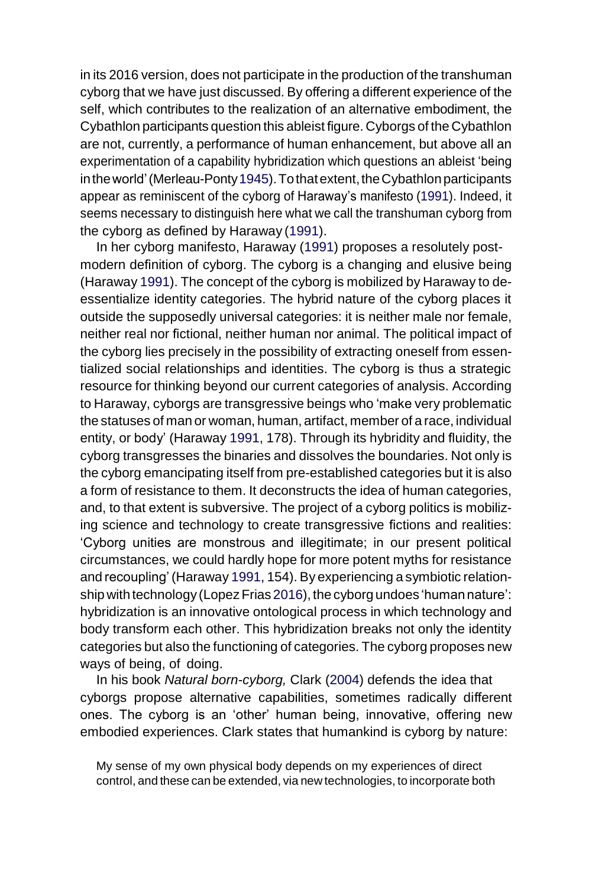<span id="page-8-2"></span>in its 2016 version, does not participate in the production of the transhuman cyborg that we have just discussed. By offering a different experience of the self, which contributes to the realization of an alternative embodiment, the Cybathlon participants question this ableist figure. Cyborgs of the Cybathlon are not, currently, a performance of human enhancement, but above all an experimentation of a capability hybridization which questions an ableist 'being in the world' (Merleau-Ponty 1945). To that extent, the Cybathlon participants appear as reminiscent of the cyborg of Haraway's manifesto [\(1991\)](#page-15-11). Indeed, it seems necessary to distinguish here what we call the transhuman cyborg from the cyborg as defined by Haraway [\(1991\)](#page-15-11).

In her cyborg manifesto, Haraway [\(1991\)](#page-15-11) proposes a resolutely postmodern definition of cyborg. The cyborg is a changing and elusive being (Haraway [1991\)](#page-15-11). The concept of the cyborg is mobilized by Haraway to deessentialize identity categories. The hybrid nature of the cyborg places it outside the supposedly universal categories: it is neither male nor female, neither real nor fictional, neither human nor animal. The political impact of the cyborg lies precisely in the possibility of extracting oneself from essentialized social relationships and identities. The cyborg is thus a strategic resource for thinking beyond our current categories of analysis. According to Haraway, cyborgs are transgressive beings who 'make very problematic the statuses of man or woman, human, artifact, member of a race, individual entity, or body' (Haraway [1991,](#page-15-11) 178). Through its hybridity and fluidity, the cyborg transgresses the binaries and dissolves the boundaries. Not only is the cyborg emancipating itself from pre-established categories but it is also a form of resistance to them. It deconstructs the idea of human categories, and, to that extent is subversive. The project of a cyborg politics is mobilizing science and technology to create transgressive fictions and realities: 'Cyborg unities are monstrous and illegitimate; in our present political circumstances, we could hardly hope for more potent myths for resistance and recoupling' (Haraway [1991,](#page-15-11) 154). By experiencing a symbiotic relation-ship with technology (Lopez Frias [2016\)](#page-15-1), the cyborg undoes 'human nature': hybridization is an innovative ontological process in which technology and body transform each other. This hybridization breaks not only the identity categories but also the functioning of categories. The cyborg proposes new ways of being, of doing.

<span id="page-8-1"></span>In his book *Natural born-cyborg,* Clark [\(2004\)](#page-14-12) defends the idea that cyborgs propose alternative capabilities, sometimes radically different ones. The cyborg is an 'other' human being, innovative, offering new embodied experiences. Clark states that humankind is cyborg by nature:

<span id="page-8-0"></span>My sense of my own physical body depends on my experiences of direct control, and these can be extended, via new technologies, to incorporate both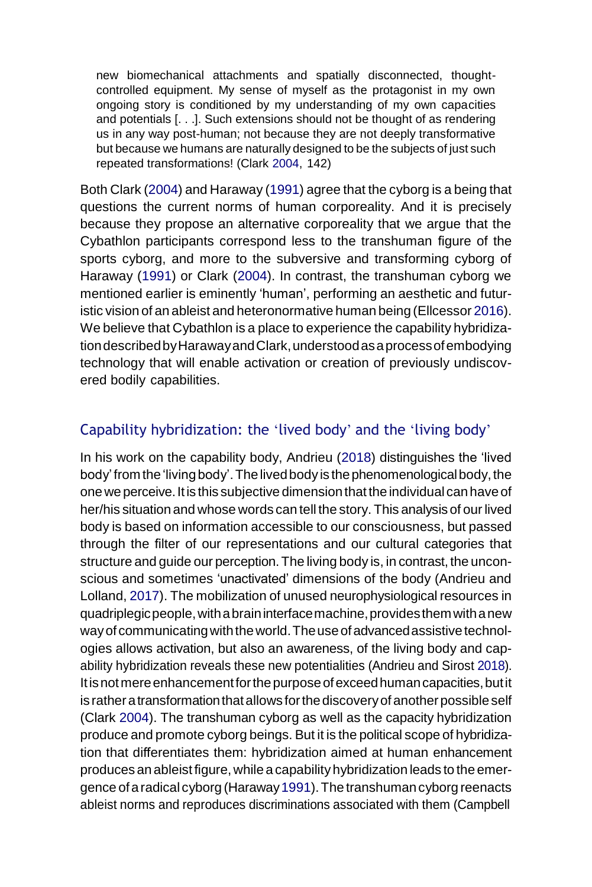new biomechanical attachments and spatially disconnected, thoughtcontrolled equipment. My sense of myself as the protagonist in my own ongoing story is conditioned by my understanding of my own capacities and potentials [. . .]. Such extensions should not be thought of as rendering us in any way post-human; not because they are not deeply transformative but because we humans are naturally designed to be the subjects of just such repeated transformations! (Clark [2004,](#page-14-12) 142)

Both Clark [\(2004\)](#page-14-12) and Haraway [\(1991\)](#page-15-11) agree that the cyborg is a being that questions the current norms of human corporeality. And it is precisely because they propose an alternative corporeality that we argue that the Cybathlon participants correspond less to the transhuman figure of the sports cyborg, and more to the subversive and transforming cyborg of Haraway [\(1991\)](#page-15-11) or Clark [\(2004\)](#page-14-12). In contrast, the transhuman cyborg we mentioned earlier is eminently 'human', performing an aesthetic and futuristic vision of an ableist and heteronormative human being (Ellcessor [2016\)](#page-14-7). We believe that Cybathlon is a place to experience the capability hybridization described by Haraway and Clark, understood as a process of embodying technology that will enable activation or creation of previously undiscovered bodily capabilities.

## Capability hybridization: the 'lived body' and the 'living body'

<span id="page-9-1"></span><span id="page-9-0"></span>In his work on the capability body, Andrieu [\(2018\)](#page-14-2) distinguishes the 'lived body' from the 'living body'. The lived body is the phenomenological body, the one we perceive. It is this subjective dimension that the individual can have of her/his situation and whose words can tell the story. This analysis of our lived body is based on information accessible to our consciousness, but passed through the filter of our representations and our cultural categories that structure and guide our perception.The living body is, in contrast, the unconscious and sometimes 'unactivated' dimensions of the body (Andrieu and Lolland, [2017\)](#page-14-13). The mobilization of unused neurophysiological resources in quadriplegicpeople,withabraininterfacemachine,providesthemwithanew way of communicating with the world. The use of advanced assistive technologies allows activation, but also an awareness, of the living body and capability hybridization reveals these new potentialities (Andrieu and Sirost [2018\)](#page-14-14). It is not mere enhancement for the purpose of exceed human capacities, but it is rather a transformation that allows for the discovery of another possible self (Clark [2004\)](#page-14-12). The transhuman cyborg as well as the capacity hybridization produce and promote cyborg beings. But it is the political scope of hybridization that differentiates them: hybridization aimed at human enhancement produces an ableist figure, while a capability hybridization leads to the emergence of aradical cyborg (Harawa[y1991\)](#page-15-11).The transhumancyborg reenacts ableist norms and reproduces discriminations associated with them (Campbell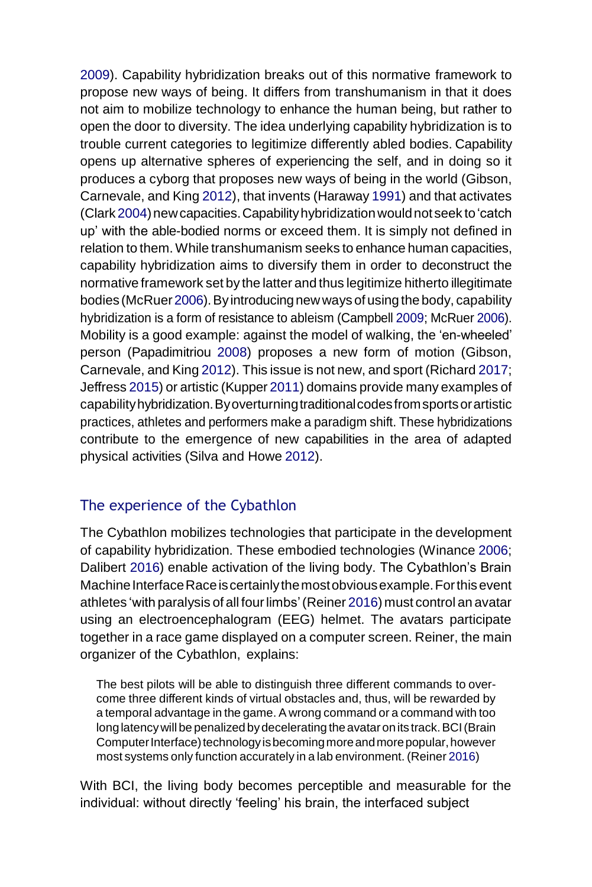<span id="page-10-3"></span>[2009\)](#page-14-1). Capability hybridization breaks out of this normative framework to propose new ways of being. It differs from transhumanism in that it does not aim to mobilize technology to enhance the human being, but rather to open the door to diversity. The idea underlying capability hybridization is to trouble current categories to legitimize differently abled bodies. Capability opens up alternative spheres of experiencing the self, and in doing so it produces a cyborg that proposes new ways of being in the world (Gibson, Carnevale, and King [2012\)](#page-14-15), that invents (Haraway [1991\)](#page-15-11) and that activates (Clark [2004\)](#page-14-12) new capacities. Capability hybridization would not seek to 'catch up' with the able-bodied norms or exceed them. It is simply not defined in relation to them.While transhumanism seeks to enhance human capacities, capability hybridization aims to diversify them in order to deconstruct the normative framework set by the latter and thus legitimize hitherto illegitimate bodies (McRuer 2006). By introducing new ways of using the body, capability hybridization is a form of resistance to ableism (Campbell [2009;](#page-14-1) McRuer [2006\)](#page-15-12). Mobility is a good example: against the model of walking, the 'en-wheeled' person (Papadimitriou [2008\)](#page-15-13) proposes a new form of motion (Gibson, Carnevale, and King [2012\)](#page-14-15). This issue is not new, and sport (Richard [2017;](#page-16-8) Jeffress [2015\)](#page-15-14) or artistic (Kupper [2011\)](#page-15-15) domains provide many examples of capabilityhybridization.Byoverturningtraditionalcodesfromsportsorartistic practices, athletes and performers make a paradigm shift. These hybridizations contribute to the emergence of new capabilities in the area of adapted physical activities (Silva and Howe [2012\)](#page-16-7).

## <span id="page-10-4"></span><span id="page-10-2"></span><span id="page-10-1"></span>The experience of the Cybathlon

<span id="page-10-6"></span><span id="page-10-0"></span>The Cybathlon mobilizes technologies that participate in the development of capability hybridization. These embodied technologies (Winance [2006;](#page-16-9) Dalibert [2016\)](#page-14-16) enable activation of the living body. The Cybathlon's Brain Machine Interface Race is certainly the most obvious example. For this event athletes 'with paralysis of all fourlimbs'(Reiner [2016\)](#page-15-16) must control an avatar using an electroencephalogram (EEG) helmet. The avatars participate together in a race game displayed on a computer screen. Reiner, the main organizer of the Cybathlon, explains:

<span id="page-10-5"></span>The best pilots will be able to distinguish three different commands to overcome three different kinds of virtual obstacles and, thus, will be rewarded by a temporal advantage in the game. A wrong command or a command with too long latency will be penalized by decelerating the avatar on its track. BCI (Brain Computer Interface) technology is becoming more and more popular, however most systems only function accurately in a lab environment. (Reiner [2016\)](#page-15-16)

With BCI, the living body becomes perceptible and measurable for the individual: without directly 'feeling' his brain, the interfaced subject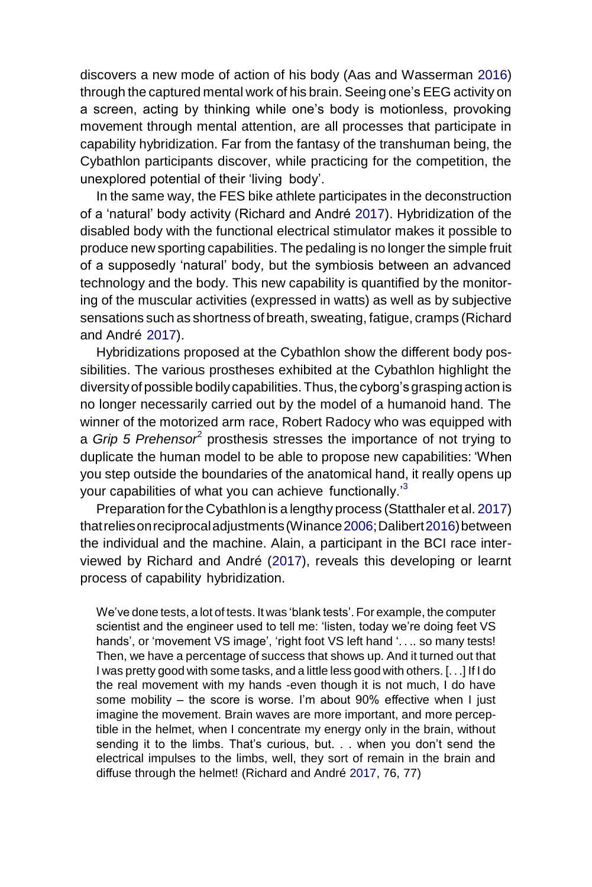<span id="page-11-0"></span>discovers a new mode of action of his body (Aas and Wasserman [2016\)](#page-14-17) through the captured mental work of his brain. Seeing one's EEG activity on a screen, acting by thinking while one's body is motionless, provoking movement through mental attention, are all processes that participate in capability hybridization. Far from the fantasy of the transhuman being, the Cybathlon participants discover, while practicing for the competition, the unexplored potential of their 'living body'.

In the same way, the FES bike athlete participates in the deconstruction of a 'natural' body activity (Richard and André [2017\)](#page-16-2). Hybridization of the disabled body with the functional electrical stimulator makes it possible to produce new sporting capabilities. The pedaling is no longer the simple fruit of a supposedly 'natural' body, but the symbiosis between an advanced technology and the body. This new capability is quantified by the monitoring of the muscular activities (expressed in watts) as well as by subjective sensations such as shortness of breath, sweating, fatigue, cramps (Richard and André [2017\)](#page-16-2).

Hybridizations proposed at the Cybathlon show the different body possibilities. The various prostheses exhibited at the Cybathlon highlight the diversity of possible bodily capabilities. Thus, the cyborg's grasping action is no longer necessarily carried out by the model of a humanoid hand. The winner of the motorized arm race, Robert Radocy who was equipped with a *G[r](#page-13-1)ip 5 Prehensor*<sup>2</sup> prosthesis stresses the importance of not trying to duplicate the human model to be able to propose new capabilities: 'When you step outside the boundaries of the anatomical hand, it really opens up your capabilities of what you can achieve functionally.<sup>3</sup>

<span id="page-11-1"></span>Preparation for the Cybathlon is a lengthy process (Statthaler et al. [2017\)](#page-16-10) thatreliesonreciprocaladjustments(Winanc[e2006;](#page-16-9)Daliber[t2016\)](#page-14-16)between the individual and the machine. Alain, a participant in the BCI race interviewed by Richard and André [\(2017\)](#page-16-2), reveals this developing or learnt process of capability hybridization.

We've done tests, a lot of tests. It was 'blank tests'. For example, the computer scientist and the engineer used to tell me: 'listen, today we're doing feet VS hands', or 'movement VS image', 'right foot VS left hand '.... so many tests! Then, we have a percentage of success that shows up. And it turned out that I was pretty good with some tasks, and a little less good with others. [. . .] If I do the real movement with my hands -even though it is not much, I do have some mobility – the score is worse. I'm about 90% effective when I just imagine the movement. Brain waves are more important, and more perceptible in the helmet, when I concentrate my energy only in the brain, without sending it to the limbs. That's curious, but. . . when you don't send the electrical impulses to the limbs, well, they sort of remain in the brain and diffuse through the helmet! (Richard and André [2017,](#page-16-2) 76, 77)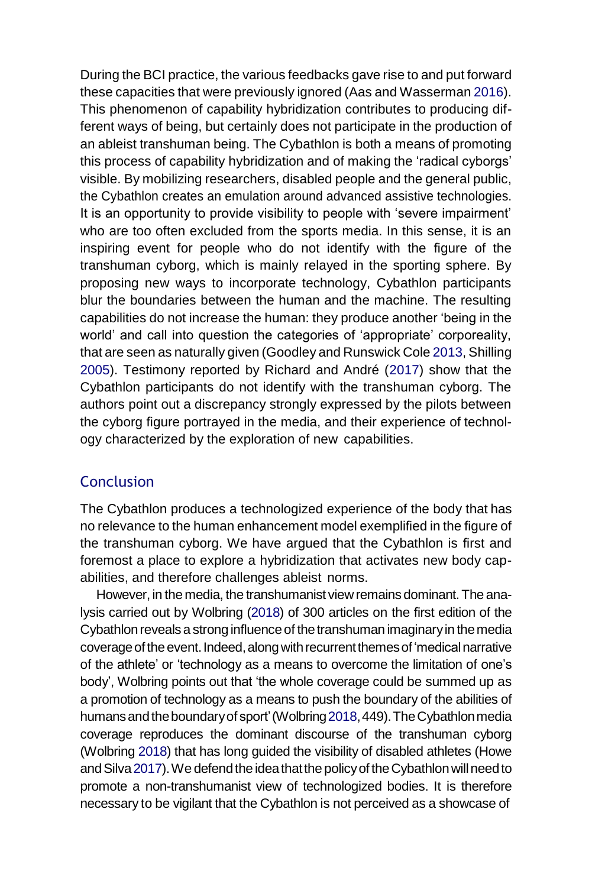During the BCI practice, the various feedbacks gave rise to and put forward these capacities that were previously ignored (Aas and Wasserman [2016\)](#page-14-17). This phenomenon of capability hybridization contributes to producing different ways of being, but certainly does not participate in the production of an ableist transhuman being. The Cybathlon is both a means of promoting this process of capability hybridization and of making the 'radical cyborgs' visible. By mobilizing researchers, disabled people and the general public, the Cybathlon creates an emulation around advanced assistive technologies. It is an opportunity to provide visibility to people with 'severe impairment' who are too often excluded from the sports media. In this sense, it is an inspiring event for people who do not identify with the figure of the transhuman cyborg, which is mainly relayed in the sporting sphere. By proposing new ways to incorporate technology, Cybathlon participants blur the boundaries between the human and the machine. The resulting capabilities do not increase the human: they produce another 'being in the world' and call into question the categories of 'appropriate' corporeality, that are seen as naturally given (Goodley and Runswick Cole [2013,](#page-15-17) Shilling [2005\)](#page-16-11). Testimony reported by Richard and André [\(2017\)](#page-16-2) show that the Cybathlon participants do not identify with the transhuman cyborg. The authors point out a discrepancy strongly expressed by the pilots between the cyborg figure portrayed in the media, and their experience of technology characterized by the exploration of new capabilities.

### <span id="page-12-0"></span>**Conclusion**

The Cybathlon produces a technologized experience of the body that has no relevance to the human enhancement model exemplified in the figure of the transhuman cyborg. We have argued that the Cybathlon is first and foremost a place to explore a hybridization that activates new body capabilities, and therefore challenges ableist norms.

However, in the media, the transhumanist view remains dominant.The analysis carried out by Wolbring [\(2018\)](#page-16-1) of 300 articles on the first edition of the Cybathlon reveals a strong influence of the transhuman imaginary in the media coverage of the event. Indeed, along with recurrent themes of 'medical narrative of the athlete' or 'technology as a means to overcome the limitation of one's body', Wolbring points out that 'the whole coverage could be summed up as a promotion of technology as a means to push the boundary of the abilities of humans and the boundary of sport' (Wolbring 2018, 449). The Cybathlon media coverage reproduces the dominant discourse of the transhuman cyborg (Wolbring [2018\)](#page-16-1) that has long guided the visibility of disabled athletes (Howe and Silva 2017). We defend the idea that the policy of the Cybathlon will need to promote a non-transhumanist view of technologized bodies. It is therefore necessary to be vigilant that the Cybathlon is not perceived as a showcase of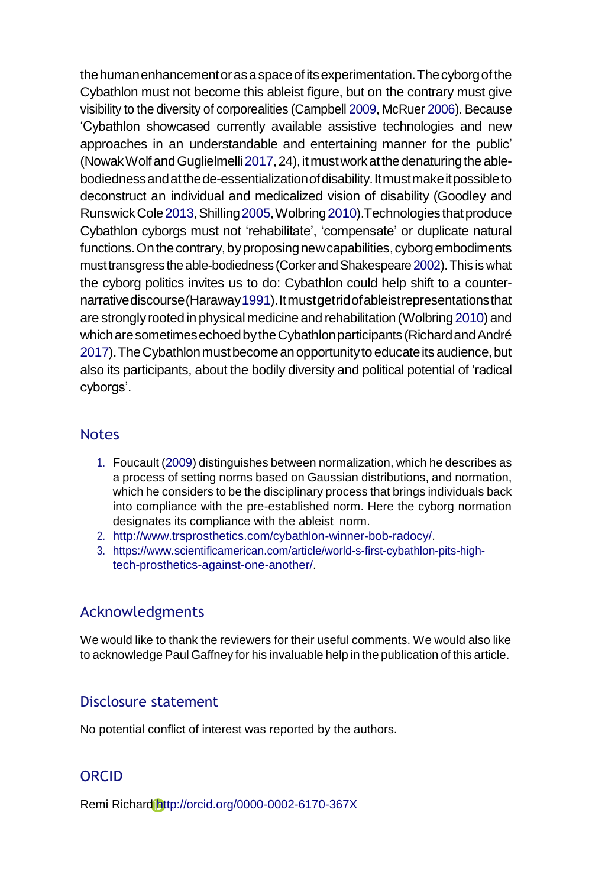<span id="page-13-4"></span><span id="page-13-3"></span>thehumanenhancementorasaspaceofitsexperimentation.Thecyborgofthe Cybathlon must not become this ableist figure, but on the contrary must give visibility to the diversity of corporealities (Campbell [2009,](#page-14-1) McRuer [2006\)](#page-15-12). Because 'Cybathlon showcased currently available assistive technologies and new approaches in an understandable and entertaining manner for the public' (Nowak Wolf and Guglielmelli 2017, 24), it must work at the denaturing the ablebodiedness and at the de-essentialization of disability. It must make it possible to deconstruct an individual and medicalized vision of disability (Goodley and Runswick Cole 2013, Shilling 2005, Wolbring 2010). Technologies that produce Cybathlon cyborgs must not 'rehabilitate', 'compensate' or duplicate natural functions. On the contrary, by proposing new capabilities, cyborg embodiments must transgress the able-bodiedness (Corker and Shakespeare [2002\)](#page-14-18). This is what the cyborg politics invites us to do: Cybathlon could help shift to a counternarrativediscourse(Harawa[y1991\)](#page-15-11).Itmustgetridofableistrepresentationsthat are strongly rooted in physical medicine and rehabilitation (Wolbring [2010\)](#page-16-12) and which are sometimes echoed by the Cybathlon participants (Richard and André [2017\)](#page-16-2). The Cybathlon must become an opportunity to educate its audience, but also its participants, about the bodily diversity and political potential of 'radical cyborgs'.

#### <span id="page-13-0"></span>Notes

- <span id="page-13-5"></span>1. Foucault [\(2009\)](#page-14-9) distinguishes between normalization, which he describes as a process of setting norms based on Gaussian distributions, and normation, which he considers to be the disciplinary process that brings individuals back into compliance with the pre-established norm. Here the cyborg normation designates its compliance with the ableist norm.
- <span id="page-13-2"></span><span id="page-13-1"></span>2. [http://www.trsprosthetics.com/cybathlon-winner-bob-radocy/.](http://www.trsprosthetics.com/cybathlon-winner-bob-radocy/)
- 3. [https://www.scientificamerican.com/article/world-s-first-cybathlon-pits-high](https://www.scientificamerican.com/article/world-s-first-cybathlon-pits-high-tech-prosthetics-against-one-another/)tech-prosthetics-against-one-another/.

#### Acknowledgments

We would like to thank the reviewers for their useful comments. We would also like to acknowledge Paul Gaffney for his invaluable help in the publication of this article.

#### Disclosure statement

No potential conflict of interest was reported by the authors.

### ORCID

Remi Richard<http://orcid.org/0000-0002-6170-367X>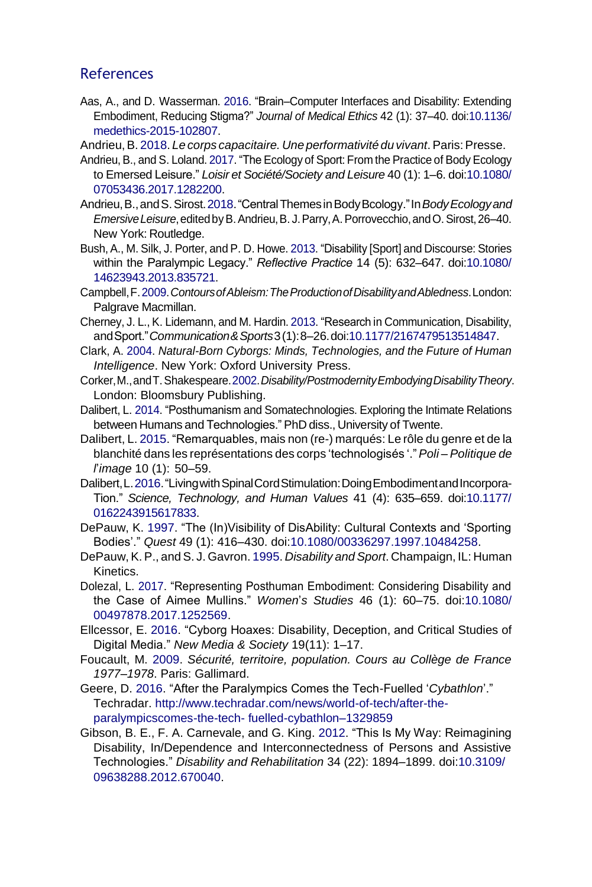#### References

<span id="page-14-17"></span>Aas, A., and D. Wasserman. [2016.](#page-11-0) "Brain–Computer Interfaces and Disability: Extending Embodiment, Reducing Stigma?" *Journal of Medical Ethics* 42 (1): 37–40. do[i:10.1136/](https://doi.org/10.1136/medethics-2015-102807) [medethics-2015-102807.](https://doi.org/10.1136/medethics-2015-102807)

<span id="page-14-14"></span><span id="page-14-13"></span><span id="page-14-2"></span>Andrieu,B. [2018.](#page-4-0) *Le corps capacitaire. Une performativité du vivant*.Paris:Presse.

- Andrieu,B., and S. Loland. [2017.](#page-9-0) "The Ecology of Sport: From the Practice of Body Ecology to Emersed Leisure." *Loisir et Société/Society and Leisure* 40 (1): 1–6. doi[:10.1080/](https://doi.org/10.1080/07053436.2017.1282200) [07053436.2017.1282200.](https://doi.org/10.1080/07053436.2017.1282200)
- Andrieu,B.,andS.Sirost[.2018.](#page-9-1)"CentralThemesinBodyBcology."In*BodyEcologyand EmersiveLeisure*,editedbyB.Andrieu,B. J.Parry,A.Porrovecchio,andO.Sirost,26–40. New York: Routledge.
- <span id="page-14-6"></span><span id="page-14-1"></span>Bush, A., M. Silk, J. Porter, and P. D. Howe. [2013.](#page-5-0) "Disability [Sport] and Discourse: Stories within the Paralympic Legacy." *Reflective Practice* 14 (5): 632–647. doi[:10.1080/](https://doi.org/10.1080/14623943.2013.835721) [14623943.2013.835721.](https://doi.org/10.1080/14623943.2013.835721)
- <span id="page-14-3"></span>Campbell,F[.2009.](#page-4-1)*ContoursofAbleism:TheProductionofDisabilityandAbledness*.London: Palgrave Macmillan.
- <span id="page-14-12"></span>Cherney, J. L., K. Lidemann, and M. Hardin. [2013.](#page-4-2) "Research in Communication, Disability, andSport."*Communication&Sports*3(1):8–26.doi[:10.1177/2167479513514847.](https://doi.org/10.1177/2167479513514847)
- <span id="page-14-18"></span>Clark, A. [2004.](#page-8-0) *Natural-Born Cyborgs: Minds, Technologies, and the Future of Human Intelligence*. New York: Oxford University Press.
- <span id="page-14-8"></span>Corker,M.,andT.Shakespeare[.2002.](#page-13-3)*Disability/PostmodernityEmbodyingDisabilityTheory*. London: Bloomsbury Publishing.
- <span id="page-14-10"></span>Dalibert, L. [2014.](#page-6-0) "Posthumanism and Somatechnologies. Exploring the Intimate Relations between Humans and Technologies."PhD diss., University of Twente.
- <span id="page-14-16"></span>Dalibert, L. [2015.](#page-7-0) "Remarquables, mais non (re-) marqués: Le rôle du genre et de la blanchité dans les représentations des corps 'technologisés '."*Poli* – *Politique de l*'*image* 10 (1): 50–59.
- <span id="page-14-4"></span>Dalibert, L. 2016. "Living with Spinal Cord Stimulation: Doing Embodiment and Incorpora-Tion." *Science, Technology, and Human Values* 41 (4): 635–659. doi[:10.1177/](https://doi.org/10.1177/0162243915617833) [0162243915617833.](https://doi.org/10.1177/0162243915617833)
- <span id="page-14-5"></span>DePauw, K. [1997.](#page-4-3) "The (In)Visibility of DisAbility: Cultural Contexts and 'Sporting Bodies'." *Quest* 49 (1): 416–430. doi[:10.1080/00336297.1997.10484258.](https://doi.org/10.1080/00336297.1997.10484258)
- <span id="page-14-11"></span>DePauw,K.P., andS. J. Gavron. [1995.](#page-5-1) *Disability andSport*. Champaign, IL: Human Kinetics.
- <span id="page-14-7"></span>Dolezal, L. [2017.](#page-7-1) "Representing Posthuman Embodiment: Considering Disability and the Case of Aimee Mullins." *Women*'*s Studies* 46 (1): 60–75. do[i:10.1080/](https://doi.org/10.1080/00497878.2017.1252569) [00497878.2017.1252569.](https://doi.org/10.1080/00497878.2017.1252569)
- <span id="page-14-9"></span>Ellcessor, E[. 2016.](#page-6-1) "Cyborg Hoaxes: Disability, Deception, and Critical Studies of Digital Media." *New Media & Society* 19(11): 1–17.
- <span id="page-14-0"></span>Foucault, M. [2009.](#page-7-2) *Sécurité, territoire, population. Cours au Collège de France 1977*–*1978*. Paris: Gallimard.
- <span id="page-14-15"></span>Geere, D[. 2016.](#page-2-1) "After the Paralympics Comes the Tech-Fuelled '*Cybathlon*'." Techradar. [http://www.techradar.com/news/world-of-tech/after-the](http://www.techradar.com/news/world-of-tech/after-the-paralympicscomes-the-tech-%A0fuelled-cybathlon%20131329859)[paralympicscomes-the-tech-](http://www.techradar.com/news/world-of-tech/after-the-paralympicscomes-the-tech-%A0fuelled-cybathlon%20131329859) fuelled-cybathlon–1329859
- Gibson, B. E., F. A. Carnevale, and G. King. [2012.](#page-10-1) "This Is My Way: Reimagining Disability, In/Dependence and Interconnectedness of Persons and Assistive Technologies." *Disability and Rehabilitation* 34 (22): 1894–1899. do[i:10.3109/](https://doi.org/10.3109/09638288.2012.670040) [09638288.2012.670040.](https://doi.org/10.3109/09638288.2012.670040)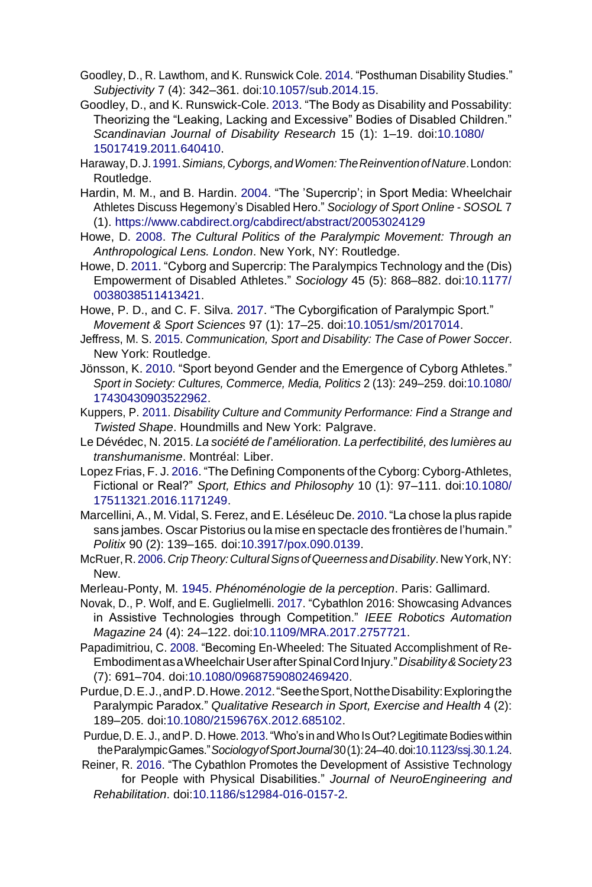- <span id="page-15-17"></span><span id="page-15-0"></span>Goodley, D., R. Lawthom, and K. Runswick Cole. [2014.](#page-2-2) "Posthuman Disability Studies." *Subjectivity* 7 (4): 342–361. doi[:10.1057/sub.2014.15.](https://doi.org/10.1057/sub.2014.15)
- Goodley, D., and K. Runswick-Cole. [2013.](#page-12-0) "The Body as Disability and Possability: Theorizing the "Leaking, Lacking and Excessive" Bodies of Disabled Children." *Scandinavian Journal of Disability Research* 15 (1): 1–19. doi[:10.1080/](https://doi.org/10.1080/15017419.2011.640410) [15017419.2011.640410.](https://doi.org/10.1080/15017419.2011.640410)
- <span id="page-15-11"></span><span id="page-15-3"></span>Haraway,D.J[.1991.](#page-8-1)*Simians,Cyborgs,andWomen:TheReinventionofNature*.London: Routledge.
- <span id="page-15-6"></span>Hardin, M. M., and B. Hardin. [2004.](#page-4-4) "The 'Supercrip'; in Sport Media: Wheelchair Athletes Discuss Hegemony's Disabled Hero." *Sociology of Sport Online - SOSOL* 7 (1). <https://www.cabdirect.org/cabdirect/abstract/20053024129>
- <span id="page-15-5"></span>Howe, D. [2008.](#page-5-2) *The Cultural Politics of the Paralympic Movement: Through an Anthropological Lens. London*. New York, NY: Routledge.
- Howe, D. [2011.](#page-5-3) "Cyborg and Supercrip: The Paralympics Technology and the (Dis) Empowerment of Disabled Athletes." *Sociology* 45 (5): 868–882. do[i:10.1177/](https://doi.org/10.1177/0038038511413421) [0038038511413421.](https://doi.org/10.1177/0038038511413421)
- <span id="page-15-14"></span><span id="page-15-2"></span>Howe, P. D., and C. F. Silva. [2017.](#page-4-5) "The Cyborgification of Paralympic Sport." *Movement & Sport Sciences* 97 (1): 17–25. doi[:10.1051/sm/2017014.](https://doi.org/10.1051/sm/2017014)
- <span id="page-15-8"></span>Jeffress, M. S. [2015.](#page-10-2) *Communication, Sport and Disability: The Case of Power Soccer*. New York: Routledge.
- Jönsson, K. [2010.](#page-6-2) "Sport beyond Gender and the Emergence of Cyborg Athletes." *Sport in Society: Cultures, Commerce, Media, Politics* 2 (13): 249–259. doi[:10.1080/](https://doi.org/10.1080/17430430903522962) [17430430903522962.](https://doi.org/10.1080/17430430903522962)
- <span id="page-15-15"></span><span id="page-15-1"></span>Kuppers, P. [2011.](#page-10-2) *Disability Culture and Community Performance: Find a Strange and Twisted Shape*. Houndmills and New York: Palgrave.
- Le Dévédec, N. 2015. *La société de l*'*amélioration. La perfectibilité, des lumières au transhumanisme*. Montréal: Liber.
- Lopez Frias, F. J. [2016.](#page-4-6) "The Defining Components of the Cyborg: Cyborg-Athletes, Fictional or Real?" *Sport, Ethics and Philosophy* 10 (1): 97–111. do[i:10.1080/](https://doi.org/10.1080/17511321.2016.1171249) [17511321.2016.1171249.](https://doi.org/10.1080/17511321.2016.1171249)
- <span id="page-15-12"></span><span id="page-15-9"></span>Marcellini,A., M. Vidal, S. Ferez, and E. Léséleuc De. [2010.](#page-7-3)"La chose la plus rapide sans jambes. Oscar Pistorius ou la mise en spectacle des frontières de l'humain." *Politix* 90 (2): 139–165. doi[:10.3917/pox.090.0139.](https://doi.org/10.3917/pox.090.0139)
- <span id="page-15-10"></span>McRuer,R. [2006.](#page-10-3) *CripTheory:CulturalSignsofQueernessandDisability*.NewYork,NY: New.
- <span id="page-15-18"></span>Merleau-Ponty, M. [1945.](#page-8-2) *Phénoménologie de la perception*. Paris: Gallimard.
- <span id="page-15-13"></span>Novak, D., P. Wolf, and E. Guglielmelli. [2017.](#page-13-4) "Cybathlon 2016: Showcasing Advances in Assistive Technologies through Competition." *IEEE Robotics Automation Magazine* 24 (4): 24–122. doi[:10.1109/MRA.2017.2757721.](https://doi.org/10.1109/MRA.2017.2757721)
- <span id="page-15-4"></span>Papadimitriou, C. [2008.](#page-10-4) "Becoming En-Wheeled: The Situated Accomplishment of Re-EmbodimentasaWheelchairUserafterSpinalCordInjury."*Disability&Society*23 (7): 691–704. do[i:10.1080/09687590802469420.](https://doi.org/10.1080/09687590802469420)
- Purdue,D.E.J.,andP.D.Howe[.2012.](#page-5-4)"SeetheSport,NottheDisability:Exploringthe Paralympic Paradox." *Qualitative Research in Sport, Exercise and Health* 4 (2): 189–205. do[i:10.1080/2159676X.2012.685102.](https://doi.org/10.1080/2159676X.2012.685102)
- <span id="page-15-16"></span><span id="page-15-7"></span>Purdue, D. E. J., and P. D. Howe. [2013.](#page-5-5) "Who's in and Who Is Out? Legitimate Bodies within theParalympicGames."*SociologyofSportJournal*30(1):24–40.do[i:10.1123/ssj.30.1.24.](https://doi.org/10.1123/ssj.30.1.24)
- Reiner, R. [2016.](#page-10-5) "The Cybathlon Promotes the Development of Assistive Technology for People with Physical Disabilities." *Journal of NeuroEngineering and Rehabilitation*. doi[:10.1186/s12984-016-0157-2.](https://doi.org/10.1186/s12984-016-0157-2)